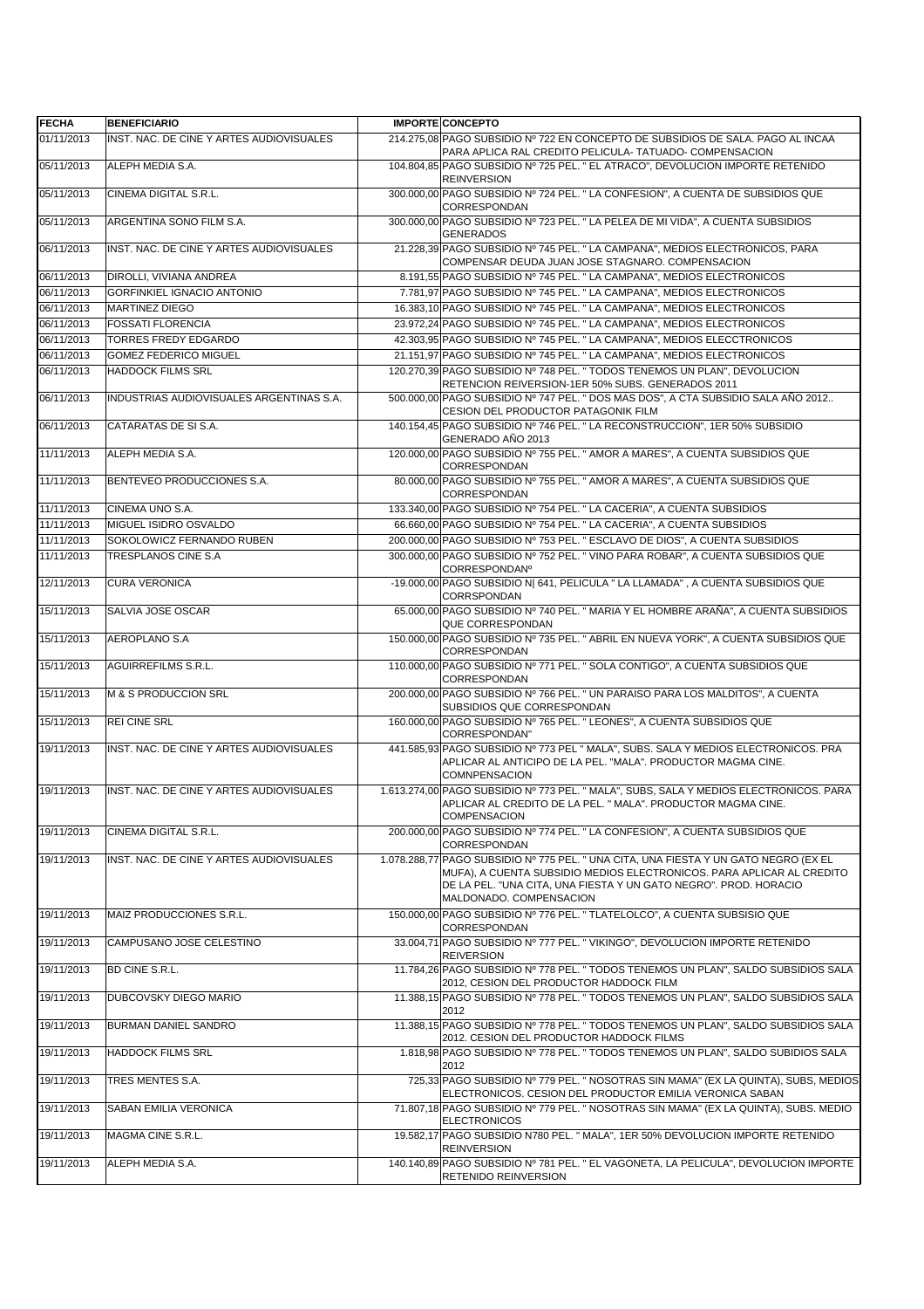| <b>FECHA</b> | <b>BENEFICIARIO</b>                      | IMPORTE CONCEPTO                                                                                                                                                              |
|--------------|------------------------------------------|-------------------------------------------------------------------------------------------------------------------------------------------------------------------------------|
| 01/11/2013   | INST. NAC. DE CINE Y ARTES AUDIOVISUALES | 214.275,08 PAGO SUBSIDIO Nº 722 EN CONCEPTO DE SUBSIDIOS DE SALA. PAGO AL INCAA<br>PARA APLICA RAL CREDITO PELICULA- TATUADO- COMPENSACION                                    |
| 05/11/2013   | ALEPH MEDIA S.A.                         | 104.804,85 PAGO SUBSIDIO Nº 725 PEL. " EL ATRACO", DEVOLUCION IMPORTE RETENIDO<br><b>REINVERSION</b>                                                                          |
| 05/11/2013   | CINEMA DIGITAL S.R.L.                    | 300,000,00 PAGO SUBSIDIO Nº 724 PEL. " LA CONFESION". A CUENTA DE SUBSIDIOS QUE<br>CORRESPONDAN                                                                               |
| 05/11/2013   | ARGENTINA SONO FILM S.A.                 | 300.000,00 PAGO SUBSIDIO Nº 723 PEL. " LA PELEA DE MI VIDA", A CUENTA SUBSIDIOS<br><b>GENERADOS</b>                                                                           |
| 06/11/2013   | INST. NAC. DE CINE Y ARTES AUDIOVISUALES | 21.228,39 PAGO SUBSIDIO Nº 745 PEL. " LA CAMPANA", MEDIOS ELECTRONICOS, PARA<br>COMPENSAR DEUDA JUAN JOSE STAGNARO. COMPENSACION                                              |
| 06/11/2013   | DIROLLI, VIVIANA ANDREA                  | 8.191,55 PAGO SUBSIDIO Nº 745 PEL. " LA CAMPANA", MEDIOS ELECTRONICOS                                                                                                         |
| 06/11/2013   | <b>GORFINKIEL IGNACIO ANTONIO</b>        | 7.781,97 PAGO SUBSIDIO Nº 745 PEL. " LA CAMPANA", MEDIOS ELECTRONICOS                                                                                                         |
| 06/11/2013   | <b>MARTINEZ DIEGO</b>                    | 16.383,10 PAGO SUBSIDIO Nº 745 PEL. " LA CAMPANA", MEDIOS ELECTRONICOS                                                                                                        |
| 06/11/2013   | <b>FOSSATI FLORENCIA</b>                 | 23.972,24 PAGO SUBSIDIO Nº 745 PEL. " LA CAMPANA", MEDIOS ELECTRONICOS                                                                                                        |
| 06/11/2013   | TORRES FREDY EDGARDO                     | 42.303,95 PAGO SUBSIDIO Nº 745 PEL. " LA CAMPANA", MEDIOS ELECCTRONICOS                                                                                                       |
| 06/11/2013   | <b>GOMEZ FEDERICO MIGUEL</b>             | 21.151,97 PAGO SUBSIDIO Nº 745 PEL. " LA CAMPANA", MEDIOS ELECTRONICOS                                                                                                        |
| 06/11/2013   | <b>HADDOCK FILMS SRL</b>                 | 120.270,39 PAGO SUBSIDIO Nº 748 PEL. " TODOS TENEMOS UN PLAN", DEVOLUCION<br>RETENCION REIVERSION-1ER 50% SUBS. GENERADOS 2011                                                |
| 06/11/2013   | INDUSTRIAS AUDIOVISUALES ARGENTINAS S.A. | 500.000,00 PAGO SUBSIDIO Nº 747 PEL. " DOS MAS DOS", A CTA SUBSIDIO SALA AÑO 2012<br>CESION DEL PRODUCTOR PATAGONIK FILM                                                      |
| 06/11/2013   | CATARATAS DE SI S.A.                     | 140.154,45 PAGO SUBSIDIO Nº 746 PEL. " LA RECONSTRUCCION", 1ER 50% SUBSIDIO<br>GENERADO AÑO 2013                                                                              |
| 11/11/2013   | ALEPH MEDIA S.A.                         | 120.000,00 PAGO SUBSIDIO Nº 755 PEL. " AMOR A MARES", A CUENTA SUBSIDIOS QUE<br>CORRESPONDAN                                                                                  |
| 11/11/2013   | BENTEVEO PRODUCCIONES S.A.               | 80.000,00 PAGO SUBSIDIO Nº 755 PEL. " AMOR A MARES", A CUENTA SUBSIDIOS QUE<br>CORRESPONDAN                                                                                   |
| 11/11/2013   | CINEMA UNO S.A.                          | 133.340,00 PAGO SUBSIDIO Nº 754 PEL. " LA CACERIA", A CUENTA SUBSIDIOS                                                                                                        |
| 11/11/2013   | MIGUEL ISIDRO OSVALDO                    | 66.660,00 PAGO SUBSIDIO Nº 754 PEL. " LA CACERIA", A CUENTA SUBSIDIOS                                                                                                         |
| 11/11/2013   | SOKOLOWICZ FERNANDO RUBEN                | 200.000,00 PAGO SUBSIDIO Nº 753 PEL. " ESCLAVO DE DIOS", A CUENTA SUBSIDIOS                                                                                                   |
| 11/11/2013   | TRESPLANOS CINE S.A                      | 300.000,00 PAGO SUBSIDIO Nº 752 PEL. " VINO PARA ROBAR", A CUENTA SUBSIDIOS QUE<br><b>CORRESPONDAN<sup>o</sup></b>                                                            |
| 12/11/2013   | <b>CURA VERONICA</b>                     | -19.000,00 PAGO SUBSIDIO N  641, PELICULA " LA LLAMADA", A CUENTA SUBSIDIOS QUE<br>CORRSPONDAN                                                                                |
| 15/11/2013   | SALVIA JOSE OSCAR                        | 65.000,00 PAGO SUBSIDIO Nº 740 PEL. " MARIA Y EL HOMBRE ARAÑA", A CUENTA SUBSIDIOS<br>QUE CORRESPONDAN                                                                        |
| 15/11/2013   | AEROPLANO S.A                            | 150.000,00 PAGO SUBSIDIO Nº 735 PEL. " ABRIL EN NUEVA YORK", A CUENTA SUBSIDIOS QUE<br>CORRESPONDAN                                                                           |
| 15/11/2013   | AGUIRREFILMS S.R.L.                      | 110.000,00 PAGO SUBSIDIO Nº 771 PEL. " SOLA CONTIGO", A CUENTA SUBSIDIOS QUE<br>CORRESPONDAN                                                                                  |
| 15/11/2013   | M & S PRODUCCION SRL                     | 200.000,00 PAGO SUBSIDIO Nº 766 PEL. " UN PARAISO PARA LOS MALDITOS", A CUENTA<br>SUBSIDIOS QUE CORRESPONDAN                                                                  |
| 15/11/2013   | REI CINE SRL                             | 160.000,00 PAGO SUBSIDIO Nº 765 PEL. " LEONES", A CUENTA SUBSIDIOS QUE<br>CORRESPONDAN"                                                                                       |
| 19/11/2013   | INST. NAC. DE CINE Y ARTES AUDIOVISUALES | 441.585.93 PAGO SUBSIDIO Nº 773 PEL " MALA". SUBS. SALA Y MEDIOS ELECTRONICOS. PRA<br>APLICAR AL ANTICIPO DE LA PEL. "MALA". PRODUCTOR MAGMA CINE.<br><b>COMNPENSACION</b>    |
| 19/11/2013   | INST. NAC. DE CINE Y ARTES AUDIOVISUALES | 1.613.274,00 PAGO SUBSIDIO Nº 773 PEL. " MALA", SUBS, SALA Y MEDIOS ELECTRONICOS. PARA<br>APLICAR AL CREDITO DE LA PEL. " MALA". PRODUCTOR MAGMA CINE.<br><b>COMPENSACION</b> |
| 19/11/2013   | CINEMA DIGITAL S.R.L.                    | 200.000,00 PAGO SUBSIDIO Nº 774 PEL. " LA CONFESION", A CUENTA SUBSIDIOS QUE<br>CORRESPONDAN                                                                                  |
| 19/11/2013   | INST. NAC. DE CINE Y ARTES AUDIOVISUALES | 1.078.288,77 PAGO SUBSIDIO Nº 775 PEL. " UNA CITA, UNA FIESTA Y UN GATO NEGRO (EX EL                                                                                          |
|              |                                          | MUFA). A CUENTA SUBSIDIO MEDIOS ELECTRONICOS. PARA APLICAR AL CREDITO<br>DE LA PEL. "UNA CITA, UNA FIESTA Y UN GATO NEGRO". PROD. HORACIO<br>MALDONADO, COMPENSACION          |
| 19/11/2013   | MAIZ PRODUCCIONES S.R.L.                 | 150.000,00 PAGO SUBSIDIO Nº 776 PEL. " TLATELOLCO", A CUENTA SUBSISIO QUE<br>CORRESPONDAN                                                                                     |
| 19/11/2013   | CAMPUSANO JOSE CELESTINO                 | 33.004,71 PAGO SUBSIDIO Nº 777 PEL. "VIKINGO", DEVOLUCION IMPORTE RETENIDO<br><b>REIVERSION</b>                                                                               |
| 19/11/2013   | BD CINE S.R.L.                           | 11.784.26 PAGO SUBSIDIO Nº 778 PEL. " TODOS TENEMOS UN PLAN". SALDO SUBSIDIOS SALA<br>2012, CESION DEL PRODUCTOR HADDOCK FILM                                                 |
| 19/11/2013   | DUBCOVSKY DIEGO MARIO                    | 11.388,15 PAGO SUBSIDIO Nº 778 PEL. " TODOS TENEMOS UN PLAN", SALDO SUBSIDIOS SALA<br>2012                                                                                    |
| 19/11/2013   | <b>BURMAN DANIEL SANDRO</b>              | 11.388,15 PAGO SUBSIDIO Nº 778 PEL. " TODOS TENEMOS UN PLAN", SALDO SUBSIDIOS SALA<br>2012. CESION DEL PRODUCTOR HADDOCK FILMS                                                |
| 19/11/2013   | <b>HADDOCK FILMS SRL</b>                 | 1.818,98 PAGO SUBSIDIO Nº 778 PEL. " TODOS TENEMOS UN PLAN", SALDO SUBIDIOS SALA<br>2012                                                                                      |
| 19/11/2013   | TRES MENTES S.A.                         | 725,33 PAGO SUBSIDIO Nº 779 PEL. " NOSOTRAS SIN MAMA" (EX LA QUINTA), SUBS, MEDIOS<br>ELECTRONICOS. CESION DEL PRODUCTOR EMILIA VERONICA SABAN                                |
| 19/11/2013   | SABAN EMILIA VERONICA                    | 71.807,18 PAGO SUBSIDIO Nº 779 PEL. " NOSOTRAS SIN MAMA" (EX LA QUINTA), SUBS. MEDIO<br><b>ELECTRONICOS</b>                                                                   |
| 19/11/2013   | MAGMA CINE S.R.L.                        | 19.582,17 PAGO SUBSIDIO N780 PEL. " MALA", 1ER 50% DEVOLUCION IMPORTE RETENIDO<br><b>REINVERSION</b>                                                                          |
| 19/11/2013   | ALEPH MEDIA S.A.                         | 140.140,89 PAGO SUBSIDIO Nº 781 PEL. " EL VAGONETA, LA PELICULA", DEVOLUCION IMPORTE<br><b>RETENIDO REINVERSION</b>                                                           |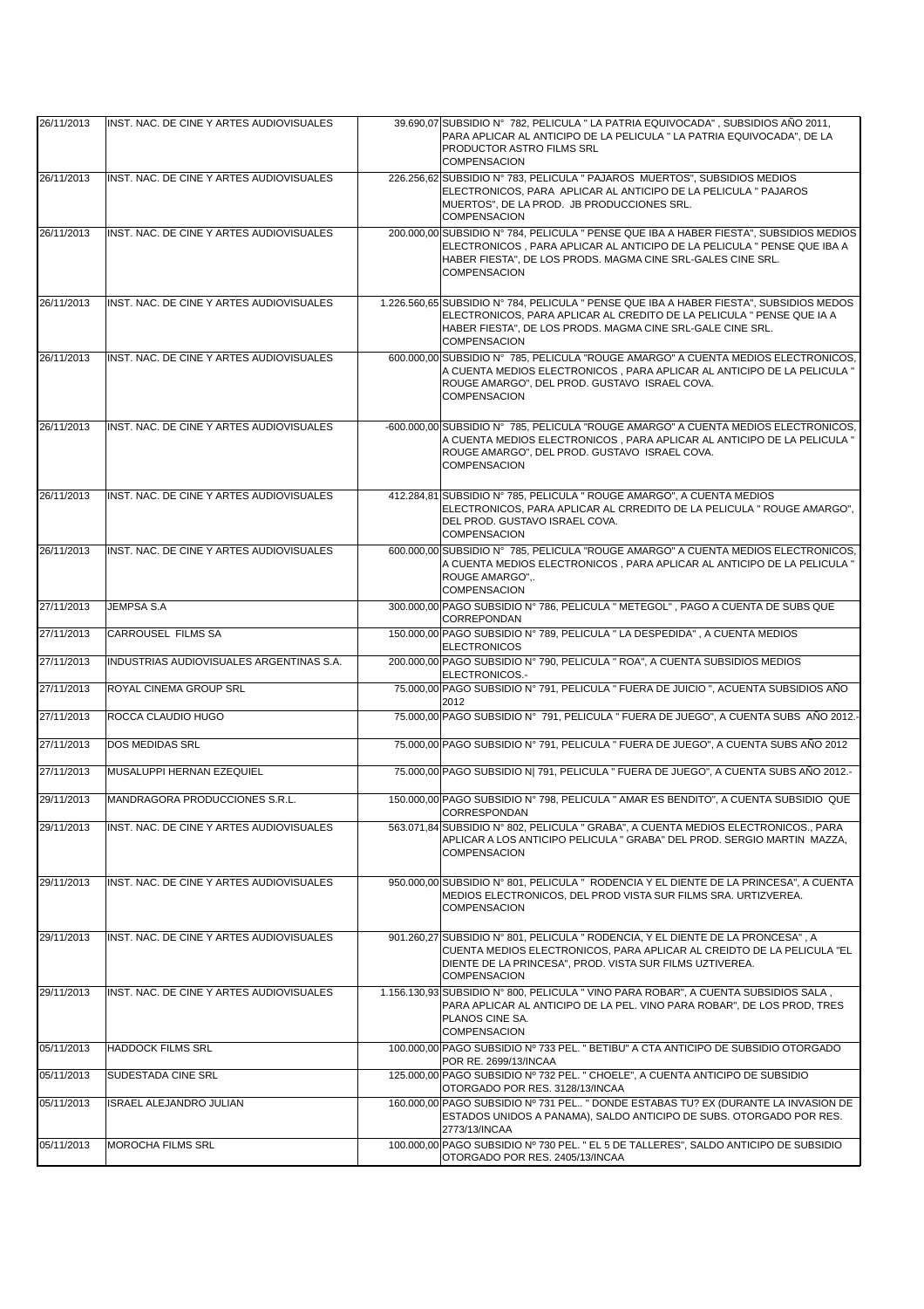| 26/11/2013 | INST. NAC. DE CINE Y ARTES AUDIOVISUALES | 39.690,07 SUBSIDIO N° 782, PELICULA " LA PATRIA EQUIVOCADA", SUBSIDIOS AÑO 2011,<br>PARA APLICAR AL ANTICIPO DE LA PELICULA " LA PATRIA EQUIVOCADA", DE LA<br><b>PRODUCTOR ASTRO FILMS SRL</b><br><b>COMPENSACION</b>                                   |
|------------|------------------------------------------|---------------------------------------------------------------------------------------------------------------------------------------------------------------------------------------------------------------------------------------------------------|
| 26/11/2013 | INST. NAC. DE CINE Y ARTES AUDIOVISUALES | 226.256,62 SUBSIDIO N° 783, PELICULA " PAJAROS MUERTOS", SUBSIDIOS MEDIOS<br>ELECTRONICOS, PARA APLICAR AL ANTICIPO DE LA PELICULA " PAJAROS<br>MUERTOS", DE LA PROD. JB PRODUCCIONES SRL.<br><b>COMPENSACION</b>                                       |
| 26/11/2013 | INST. NAC. DE CINE Y ARTES AUDIOVISUALES | 200.000,00 SUBSIDIO N° 784, PELICULA " PENSE QUE IBA A HABER FIESTA", SUBSIDIOS MEDIOS<br>ELECTRONICOS, PARA APLICAR AL ANTICIPO DE LA PELICULA " PENSE QUE IBA A<br>HABER FIESTA", DE LOS PRODS. MAGMA CINE SRL-GALES CINE SRL.<br><b>COMPENSACION</b> |
| 26/11/2013 | INST. NAC. DE CINE Y ARTES AUDIOVISUALES | 1.226.560,65 SUBSIDIO N° 784, PELICULA " PENSE QUE IBA A HABER FIESTA", SUBSIDIOS MEDOS<br>ELECTRONICOS, PARA APLICAR AL CREDITO DE LA PELICULA " PENSE QUE IA A<br>HABER FIESTA", DE LOS PRODS. MAGMA CINE SRL-GALE CINE SRL.<br><b>COMPENSACION</b>   |
| 26/11/2013 | INST. NAC. DE CINE Y ARTES AUDIOVISUALES | 600.000,00 SUBSIDIO N° 785, PELICULA "ROUGE AMARGO" A CUENTA MEDIOS ELECTRONICOS,<br>A CUENTA MEDIOS ELECTRONICOS, PARA APLICAR AL ANTICIPO DE LA PELICULA "<br>ROUGE AMARGO", DEL PROD. GUSTAVO ISRAEL COVA.<br><b>COMPENSACION</b>                    |
| 26/11/2013 | INST. NAC. DE CINE Y ARTES AUDIOVISUALES | -600.000,00 SUBSIDIO N° 785, PELICULA "ROUGE AMARGO" A CUENTA MEDIOS ELECTRONICOS,<br>A CUENTA MEDIOS ELECTRONICOS, PARA APLICAR AL ANTICIPO DE LA PELICULA "<br>ROUGE AMARGO", DEL PROD. GUSTAVO ISRAEL COVA.<br><b>COMPENSACION</b>                   |
| 26/11/2013 | INST. NAC. DE CINE Y ARTES AUDIOVISUALES | 412.284,81 SUBSIDIO N° 785, PELICULA " ROUGE AMARGO", A CUENTA MEDIOS<br>ELECTRONICOS, PARA APLICAR AL CRREDITO DE LA PELICULA " ROUGE AMARGO",<br>DEL PROD. GUSTAVO ISRAEL COVA.<br><b>COMPENSACION</b>                                                |
| 26/11/2013 | INST. NAC. DE CINE Y ARTES AUDIOVISUALES | 600.000,00 SUBSIDIO N° 785, PELICULA "ROUGE AMARGO" A CUENTA MEDIOS ELECTRONICOS,<br>A CUENTA MEDIOS ELECTRONICOS, PARA APLICAR AL ANTICIPO DE LA PELICULA '<br>ROUGE AMARGO",.<br><b>COMPENSACION</b>                                                  |
| 27/11/2013 | <b>JEMPSA S.A</b>                        | 300.000,00 PAGO SUBSIDIO N° 786, PELICULA " METEGOL", PAGO A CUENTA DE SUBS QUE<br>CORREPONDAN                                                                                                                                                          |
| 27/11/2013 | CARROUSEL FILMS SA                       | 150.000,00 PAGO SUBSIDIO N° 789, PELICULA " LA DESPEDIDA", A CUENTA MEDIOS<br><b>ELECTRONICOS</b>                                                                                                                                                       |
| 27/11/2013 | INDUSTRIAS AUDIOVISUALES ARGENTINAS S.A. | 200.000,00 PAGO SUBSIDIO N° 790, PELICULA " ROA", A CUENTA SUBSIDIOS MEDIOS<br>ELECTRONICOS.-                                                                                                                                                           |
| 27/11/2013 | ROYAL CINEMA GROUP SRL                   | 75.000,00 PAGO SUBSIDIO Nº 791, PELICULA " FUERA DE JUICIO ", ACUENTA SUBSIDIOS AÑO<br>2012                                                                                                                                                             |
| 27/11/2013 | ROCCA CLAUDIO HUGO                       | 75.000,00 PAGO SUBSIDIO N° 791, PELICULA " FUERA DE JUEGO", A CUENTA SUBS AÑO 2012.-                                                                                                                                                                    |
| 27/11/2013 | DOS MEDIDAS SRL                          | 75.000,00 PAGO SUBSIDIO Nº 791, PELICULA " FUERA DE JUEGO", A CUENTA SUBS AÑO 2012                                                                                                                                                                      |
| 27/11/2013 | MUSALUPPI HERNAN EZEQUIEL                | 75.000,00 PAGO SUBSIDIO N  791, PELICULA " FUERA DE JUEGO", A CUENTA SUBS AÑO 2012.-                                                                                                                                                                    |
| 29/11/2013 | MANDRAGORA PRODUCCIONES S.R.L.           | 150.000.00 PAGO SUBSIDIO N° 798. PELICULA " AMAR ES BENDITO". A CUENTA SUBSIDIO QUE<br>CORRESPONDAN                                                                                                                                                     |
| 29/11/2013 | INST. NAC. DE CINE Y ARTES AUDIOVISUALES | 563.071,84 SUBSIDIO N° 802, PELICULA " GRABA", A CUENTA MEDIOS ELECTRONICOS., PARA<br>APLICAR A LOS ANTICIPO PELICULA " GRABA" DEL PROD. SERGIO MARTIN MAZZA,<br>COMPENSACION                                                                           |
| 29/11/2013 | INST. NAC. DE CINE Y ARTES AUDIOVISUALES | 950.000,00 SUBSIDIO N° 801, PELICULA " RODENCIA Y EL DIENTE DE LA PRINCESA", A CUENTA<br>MEDIOS ELECTRONICOS, DEL PROD VISTA SUR FILMS SRA. URTIZVEREA.<br><b>COMPENSACION</b>                                                                          |
| 29/11/2013 | INST. NAC. DE CINE Y ARTES AUDIOVISUALES | 901.260,27 SUBSIDIO N° 801, PELICULA " RODENCIA, Y EL DIENTE DE LA PRONCESA", A<br>CUENTA MEDIOS ELECTRONICOS, PARA APLICAR AL CREIDTO DE LA PELICULA "EL<br>DIENTE DE LA PRINCESA", PROD. VISTA SUR FILMS UZTIVEREA.<br><b>COMPENSACION</b>            |
| 29/11/2013 | INST. NAC. DE CINE Y ARTES AUDIOVISUALES | 1.156.130,93 SUBSIDIO N° 800, PELICULA " VINO PARA ROBAR", A CUENTA SUBSIDIOS SALA,<br>PARA APLICAR AL ANTICIPO DE LA PEL. VINO PARA ROBAR", DE LOS PROD, TRES<br>PLANOS CINE SA.<br><b>COMPENSACION</b>                                                |
| 05/11/2013 | <b>HADDOCK FILMS SRL</b>                 | 100.000,00 PAGO SUBSIDIO Nº 733 PEL. " BETIBU" A CTA ANTICIPO DE SUBSIDIO OTORGADO<br>POR RE. 2699/13/INCAA                                                                                                                                             |
| 05/11/2013 | SUDESTADA CINE SRL                       | 125.000,00 PAGO SUBSIDIO Nº 732 PEL. " CHOELE", A CUENTA ANTICIPO DE SUBSIDIO<br>OTORGADO POR RES. 3128/13/INCAA                                                                                                                                        |
| 05/11/2013 | <b>ISRAEL ALEJANDRO JULIAN</b>           | 160.000,00 PAGO SUBSIDIO Nº 731 PEL " DONDE ESTABAS TU? EX (DURANTE LA INVASION DE<br>ESTADOS UNIDOS A PANAMA), SALDO ANTICIPO DE SUBS. OTORGADO POR RES.<br>2773/13/INCAA                                                                              |
| 05/11/2013 | MOROCHA FILMS SRL                        | 100.000,00 PAGO SUBSIDIO Nº 730 PEL. " EL 5 DE TALLERES", SALDO ANTICIPO DE SUBSIDIO<br>OTORGADO POR RES. 2405/13/INCAA                                                                                                                                 |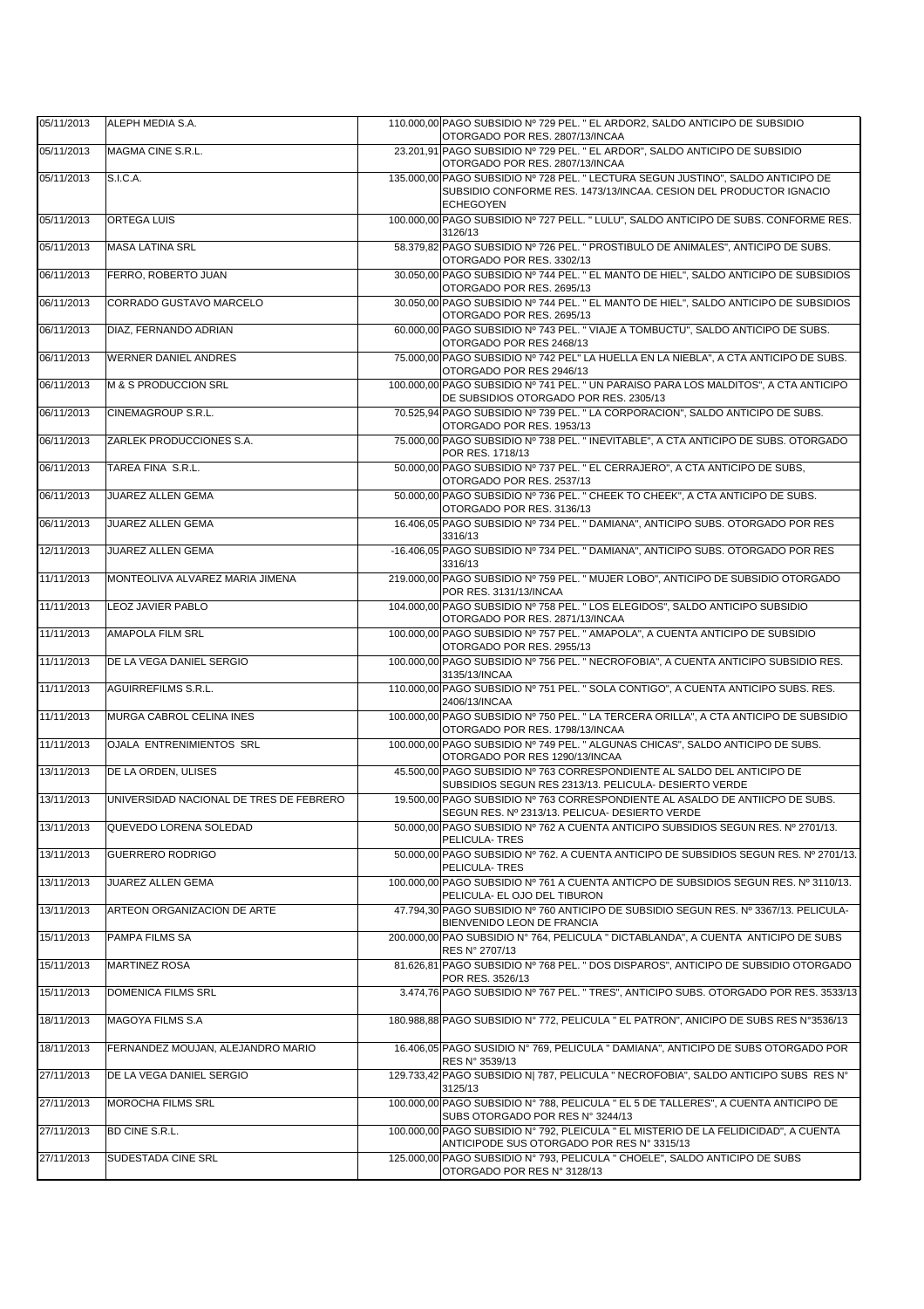| 05/11/2013 | ALEPH MEDIA S.A.                        | 110.000,00 PAGO SUBSIDIO Nº 729 PEL. " EL ARDOR2, SALDO ANTICIPO DE SUBSIDIO                                                                           |
|------------|-----------------------------------------|--------------------------------------------------------------------------------------------------------------------------------------------------------|
| 05/11/2013 | MAGMA CINE S.R.L.                       | OTORGADO POR RES. 2807/13/INCAA<br>23.201,91 PAGO SUBSIDIO Nº 729 PEL. " EL ARDOR", SALDO ANTICIPO DE SUBSIDIO<br>OTORGADO POR RES. 2807/13/INCAA      |
| 05/11/2013 | S.I.C.A.                                | 135.000,00 PAGO SUBSIDIO Nº 728 PEL. " LECTURA SEGUN JUSTINO", SALDO ANTICIPO DE<br>SUBSIDIO CONFORME RES. 1473/13/INCAA. CESION DEL PRODUCTOR IGNACIO |
| 05/11/2013 | ORTEGA LUIS                             | <b>ECHEGOYEN</b><br>100.000,00 PAGO SUBSIDIO Nº 727 PELL. " LULU", SALDO ANTICIPO DE SUBS. CONFORME RES.<br>3126/13                                    |
| 05/11/2013 | <b>MASA LATINA SRL</b>                  | 58.379,82 PAGO SUBSIDIO Nº 726 PEL. " PROSTIBULO DE ANIMALES", ANTICIPO DE SUBS.<br>OTORGADO POR RES. 3302/13                                          |
| 06/11/2013 | FERRO, ROBERTO JUAN                     | 30.050,00 PAGO SUBSIDIO Nº 744 PEL. " EL MANTO DE HIEL", SALDO ANTICIPO DE SUBSIDIOS<br>OTORGADO POR RES. 2695/13                                      |
| 06/11/2013 | CORRADO GUSTAVO MARCELO                 | 30.050,00 PAGO SUBSIDIO Nº 744 PEL. " EL MANTO DE HIEL", SALDO ANTICIPO DE SUBSIDIOS<br>OTORGADO POR RES. 2695/13                                      |
| 06/11/2013 | DIAZ, FERNANDO ADRIAN                   | 60.000,00 PAGO SUBSIDIO Nº 743 PEL. " VIAJE A TOMBUCTU", SALDO ANTICIPO DE SUBS.<br>OTORGADO POR RES 2468/13                                           |
| 06/11/2013 | <b>WERNER DANIEL ANDRES</b>             | 75.000,00 PAGO SUBSIDIO Nº 742 PEL" LA HUELLA EN LA NIEBLA", A CTA ANTICIPO DE SUBS.<br>OTORGADO POR RES 2946/13                                       |
| 06/11/2013 | M & S PRODUCCION SRL                    | 100.000,00 PAGO SUBSIDIO Nº 741 PEL. " UN PARAISO PARA LOS MALDITOS", A CTA ANTICIPO<br>DE SUBSIDIOS OTORGADO POR RES. 2305/13                         |
| 06/11/2013 | CINEMAGROUP S.R.L.                      | 70.525,94 PAGO SUBSIDIO Nº 739 PEL. " LA CORPORACION", SALDO ANTICIPO DE SUBS.<br>OTORGADO POR RES. 1953/13                                            |
| 06/11/2013 | ZARLEK PRODUCCIONES S.A.                | 75.000,00 PAGO SUBSIDIO Nº 738 PEL. " INEVITABLE", A CTA ANTICIPO DE SUBS. OTORGADO<br>POR RES. 1718/13                                                |
| 06/11/2013 | TAREA FINA S.R.L.                       | 50.000,00 PAGO SUBSIDIO Nº 737 PEL. " EL CERRAJERO", A CTA ANTICIPO DE SUBS,<br>OTORGADO POR RES. 2537/13                                              |
| 06/11/2013 | JUAREZ ALLEN GEMA                       | 50.000,00 PAGO SUBSIDIO Nº 736 PEL. " CHEEK TO CHEEK", A CTA ANTICIPO DE SUBS.<br>OTORGADO POR RES. 3136/13                                            |
| 06/11/2013 | JUAREZ ALLEN GEMA                       | 16.406,05 PAGO SUBSIDIO Nº 734 PEL. " DAMIANA", ANTICIPO SUBS. OTORGADO POR RES<br>3316/13                                                             |
| 12/11/2013 | JUAREZ ALLEN GEMA                       | -16.406,05 PAGO SUBSIDIO Nº 734 PEL. " DAMIANA", ANTICIPO SUBS. OTORGADO POR RES<br>3316/13                                                            |
| 11/11/2013 | MONTEOLIVA ALVAREZ MARIA JIMENA         | 219.000,00 PAGO SUBSIDIO Nº 759 PEL. " MUJER LOBO", ANTICIPO DE SUBSIDIO OTORGADO<br>POR RES. 3131/13/INCAA                                            |
| 11/11/2013 | LEOZ JAVIER PABLO                       | 104.000,00 PAGO SUBSIDIO Nº 758 PEL. " LOS ELEGIDOS", SALDO ANTICIPO SUBSIDIO<br>OTORGADO POR RES. 2871/13/INCAA                                       |
| 11/11/2013 | AMAPOLA FILM SRL                        | 100.000,00 PAGO SUBSIDIO Nº 757 PEL. " AMAPOLA", A CUENTA ANTICIPO DE SUBSIDIO<br>OTORGADO POR RES. 2955/13                                            |
| 11/11/2013 | DE LA VEGA DANIEL SERGIO                | 100.000,00 PAGO SUBSIDIO Nº 756 PEL. " NECROFOBIA", A CUENTA ANTICIPO SUBSIDIO RES.<br>3135/13/INCAA                                                   |
| 11/11/2013 | AGUIRREFILMS S.R.L.                     | 110.000,00 PAGO SUBSIDIO Nº 751 PEL. " SOLA CONTIGO", A CUENTA ANTICIPO SUBS. RES.<br>2406/13/INCAA                                                    |
| 11/11/2013 | MURGA CABROL CELINA INES                | 100.000,00 PAGO SUBSIDIO Nº 750 PEL. " LA TERCERA ORILLA", A CTA ANTICIPO DE SUBSIDIO<br>OTORGADO POR RES. 1798/13/INCAA                               |
| 11/11/2013 | <b>OJALA ENTRENIMIENTOS SRL</b>         | 100.000,00 PAGO SUBSIDIO Nº 749 PEL. " ALGUNAS CHICAS", SALDO ANTICIPO DE SUBS.<br>OTORGADO POR RES 1290/13/INCAA                                      |
| 13/11/2013 | DE LA ORDEN, ULISES                     | 45.500,00 PAGO SUBSIDIO Nº 763 CORRESPONDIENTE AL SALDO DEL ANTICIPO DE<br>SUBSIDIOS SEGUN RES 2313/13. PELICULA- DESIERTO VERDE                       |
| 13/11/2013 | UNIVERSIDAD NACIONAL DE TRES DE FEBRERO | 19.500,00 PAGO SUBSIDIO Nº 763 CORRESPONDIENTE AL ASALDO DE ANTIICPO DE SUBS.<br>SEGUN RES. Nº 2313/13. PELICUA- DESIERTO VERDE                        |
| 13/11/2013 | QUEVEDO LORENA SOLEDAD                  | 50.000,00 PAGO SUBSIDIO Nº 762 A CUENTA ANTICIPO SUBSIDIOS SEGUN RES. Nº 2701/13.<br>PELICULA-TRES                                                     |
| 13/11/2013 | <b>GUERRERO RODRIGO</b>                 | 50.000,00 PAGO SUBSIDIO Nº 762. A CUENTA ANTICIPO DE SUBSIDIOS SEGUN RES. Nº 2701/13.<br>PELICULA-TRES                                                 |
| 13/11/2013 | JUAREZ ALLEN GEMA                       | 100.000,00 PAGO SUBSIDIO Nº 761 A CUENTA ANTICPO DE SUBSIDIOS SEGUN RES. Nº 3110/13.<br>PELICULA- EL OJO DEL TIBURON                                   |
| 13/11/2013 | ARTEON ORGANIZACION DE ARTE             | 47.794,30 PAGO SUBSIDIO Nº 760 ANTICIPO DE SUBSIDIO SEGUN RES. Nº 3367/13. PELICULA-<br>BIENVENIDO LEON DE FRANCIA                                     |
| 15/11/2013 | PAMPA FILMS SA                          | 200.000,00 PAO SUBSIDIO N° 764, PELICULA " DICTABLANDA", A CUENTA ANTICIPO DE SUBS<br>RES Nº 2707/13                                                   |
| 15/11/2013 | <b>MARTINEZ ROSA</b>                    | 81.626,81 PAGO SUBSIDIO Nº 768 PEL. " DOS DISPAROS", ANTICIPO DE SUBSIDIO OTORGADO<br>POR RES. 3526/13                                                 |
| 15/11/2013 | DOMENICA FILMS SRL                      | 3.474,76 PAGO SUBSIDIO Nº 767 PEL. " TRES", ANTICIPO SUBS. OTORGADO POR RES. 3533/13                                                                   |
| 18/11/2013 | MAGOYA FILMS S.A                        | 180.988,88 PAGO SUBSIDIO N° 772, PELICULA " EL PATRON", ANICIPO DE SUBS RES N°3536/13                                                                  |
| 18/11/2013 | FERNANDEZ MOUJAN, ALEJANDRO MARIO       | 16.406,05 PAGO SUSIDIO Nº 769, PELICULA " DAMIANA", ANTICIPO DE SUBS OTORGADO POR<br>RES Nº 3539/13                                                    |
| 27/11/2013 | DE LA VEGA DANIEL SERGIO                | 129.733,42 PAGO SUBSIDIO N  787, PELICULA " NECROFOBIA", SALDO ANTICIPO SUBS RES N°<br>3125/13                                                         |
| 27/11/2013 | MOROCHA FILMS SRL                       | 100.000,00 PAGO SUBSIDIO N° 788, PELICULA " EL 5 DE TALLERES", A CUENTA ANTICIPO DE<br>SUBS OTORGADO POR RES Nº 3244/13                                |
| 27/11/2013 | BD CINE S.R.L.                          | 100.000,00 PAGO SUBSIDIO N° 792, PLEICULA " EL MISTERIO DE LA FELIDICIDAD", A CUENTA<br>ANTICIPODE SUS OTORGADO POR RES Nº 3315/13                     |
| 27/11/2013 | SUDESTADA CINE SRL                      | 125.000,00 PAGO SUBSIDIO N° 793, PELICULA " CHOELE", SALDO ANTICIPO DE SUBS<br>OTORGADO POR RES Nº 3128/13                                             |